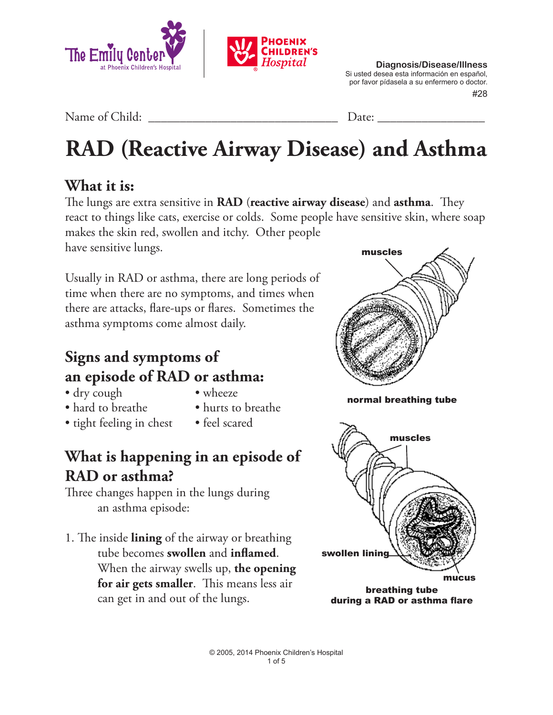

 #28 **Diagnosis/Disease/Illness** Si usted desea esta información en español, por favor pídasela a su enfermero o doctor.

Name of Child: \_\_\_\_\_\_\_\_\_\_\_\_\_\_\_\_\_\_\_\_\_\_\_\_\_\_\_\_\_\_ Date: \_\_\_\_\_\_\_\_\_\_\_\_\_\_\_\_\_

# **RAD (Reactive Airway Disease) and Asthma**

### **What it is:**

The lungs are extra sensitive in **RAD** (**reactive airway disease**) and **asthma**. They react to things like cats, exercise or colds. Some people have sensitive skin, where soap makes the skin red, swollen and itchy. Other people have sensitive lungs. muscles

Usually in RAD or asthma, there are long periods of time when there are no symptoms, and times when there are attacks, flare-ups or flares. Sometimes the asthma symptoms come almost daily.

## **Signs and symptoms of an episode of RAD or asthma:**

- dry cough wheeze
- 
- hard to breathe hurts to breathe
- 
- tight feeling in chest feel scared
- 

## **What is happening in an episode of RAD or asthma?**

Three changes happen in the lungs during an asthma episode:

1. The inside **lining** of the airway or breathing tube becomes **swollen** and **inflamed**. When the airway swells up, **the opening for air gets smaller**. This means less air can get in and out of the lungs.



during a RAD or asthma flare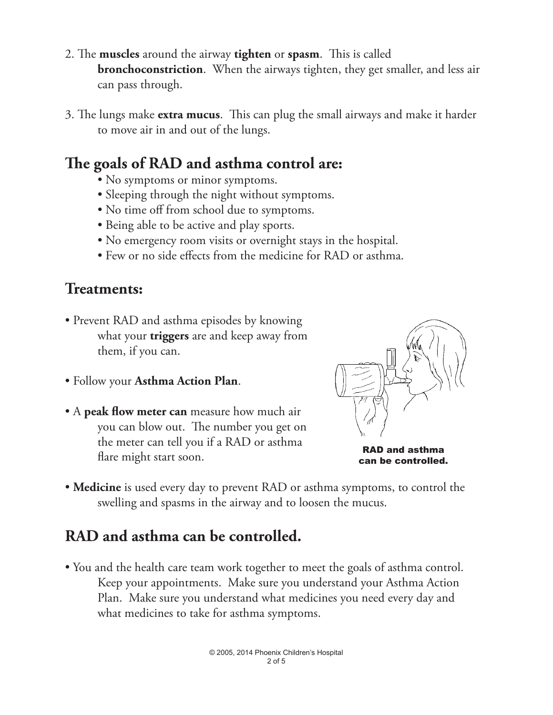- 2. The **muscles** around the airway **tighten** or **spasm**. This is called **bronchoconstriction.** When the airways tighten, they get smaller, and less air can pass through.
- 3. The lungs make **extra mucus**. This can plug the small airways and make it harder to move air in and out of the lungs.

### **The goals of RAD and asthma control are:**

- No symptoms or minor symptoms.
- Sleeping through the night without symptoms.
- No time off from school due to symptoms.
- Being able to be active and play sports.
- No emergency room visits or overnight stays in the hospital.
- Few or no side effects from the medicine for RAD or asthma.

#### **Treatments:**

- Prevent RAD and asthma episodes by knowing what your **triggers** are and keep away from them, if you can.
- Follow your **Asthma Action Plan**.
- A **peak flow meter can** measure how much air you can blow out. The number you get on the meter can tell you if a RAD or asthma flare might start soon.



RAD and asthma can be controlled.

• **Medicine** is used every day to prevent RAD or asthma symptoms, to control the swelling and spasms in the airway and to loosen the mucus.

### **RAD and asthma can be controlled.**

• You and the health care team work together to meet the goals of asthma control. Keep your appointments. Make sure you understand your Asthma Action Plan. Make sure you understand what medicines you need every day and what medicines to take for asthma symptoms.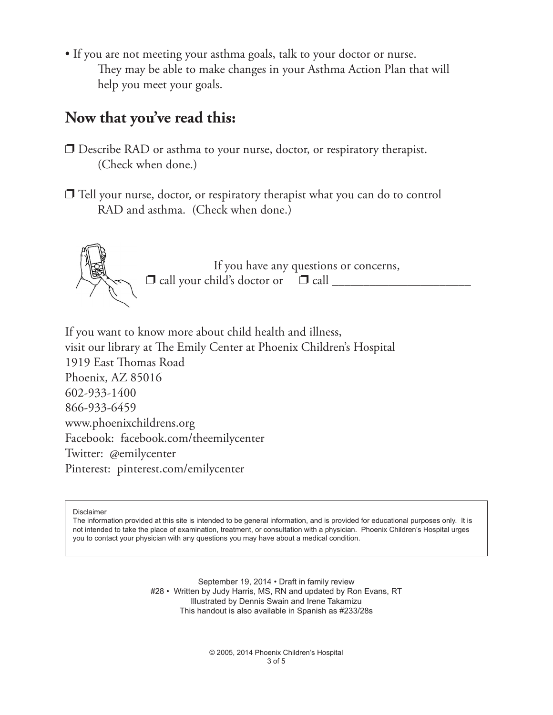• If you are not meeting your asthma goals, talk to your doctor or nurse. They may be able to make changes in your Asthma Action Plan that will help you meet your goals.

#### **Now that you've read this:**

- $\square$  Describe RAD or asthma to your nurse, doctor, or respiratory therapist. (Check when done.)
- $\Box$  Tell your nurse, doctor, or respiratory therapist what you can do to control RAD and asthma. (Check when done.)



If you have any questions or concerns,  $\Box$  call your child's doctor or  $\Box$  call  $\Box$ 

If you want to know more about child health and illness, visit our library at The Emily Center at Phoenix Children's Hospital 1919 East Thomas Road Phoenix, AZ 85016 602-933-1400 866-933-6459 www.phoenixchildrens.org Facebook: facebook.com/theemilycenter Twitter: @emilycenter Pinterest: pinterest.com/emilycenter

Disclaimer

The information provided at this site is intended to be general information, and is provided for educational purposes only. It is not intended to take the place of examination, treatment, or consultation with a physician. Phoenix Children's Hospital urges you to contact your physician with any questions you may have about a medical condition.

> September 19, 2014 • Draft in family review #28 • Written by Judy Harris, MS, RN and updated by Ron Evans, RT Illustrated by Dennis Swain and Irene Takamizu This handout is also available in Spanish as #233/28s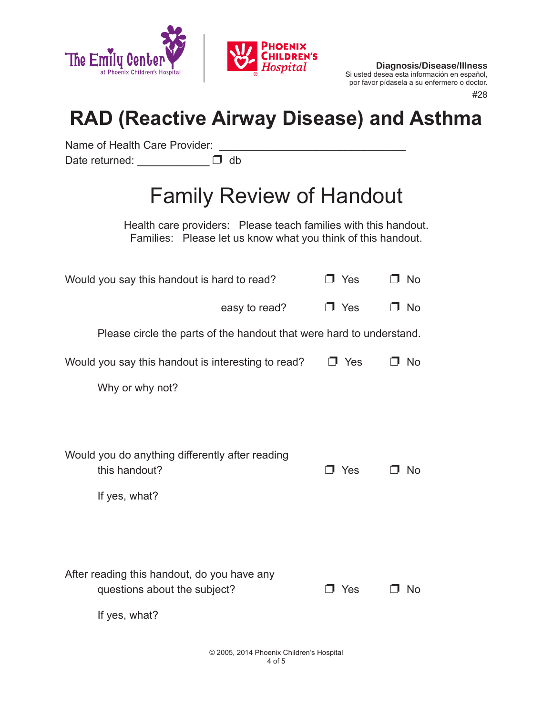

**Diagnosis/Disease/Illness** Si usted desea esta información en español, por favor pídasela a su enfermero o doctor.

#28

## **RAD (Reactive Airway Disease) and Asthma**

Name of Health Care Provider: Date returned:  $\Box$  db

## Family Review of Handout

Health care providers: Please teach families with this handout. Families: Please let us know what you think of this handout.

| Would you say this handout is hard to read?                                                  | $\Box$ Yes | No        |
|----------------------------------------------------------------------------------------------|------------|-----------|
| easy to read?                                                                                | $\Box$ Yes | No        |
| Please circle the parts of the handout that were hard to understand.                         |            |           |
| Would you say this handout is interesting to read?                                           | Yes<br>п.  | <b>No</b> |
| Why or why not?                                                                              |            |           |
|                                                                                              |            |           |
| Would you do anything differently after reading<br>this handout?<br>If yes, what?            | J Yes      | <b>No</b> |
| After reading this handout, do you have any<br>questions about the subject?<br>If yes, what? | $\Box$ Yes | No.       |
|                                                                                              |            |           |